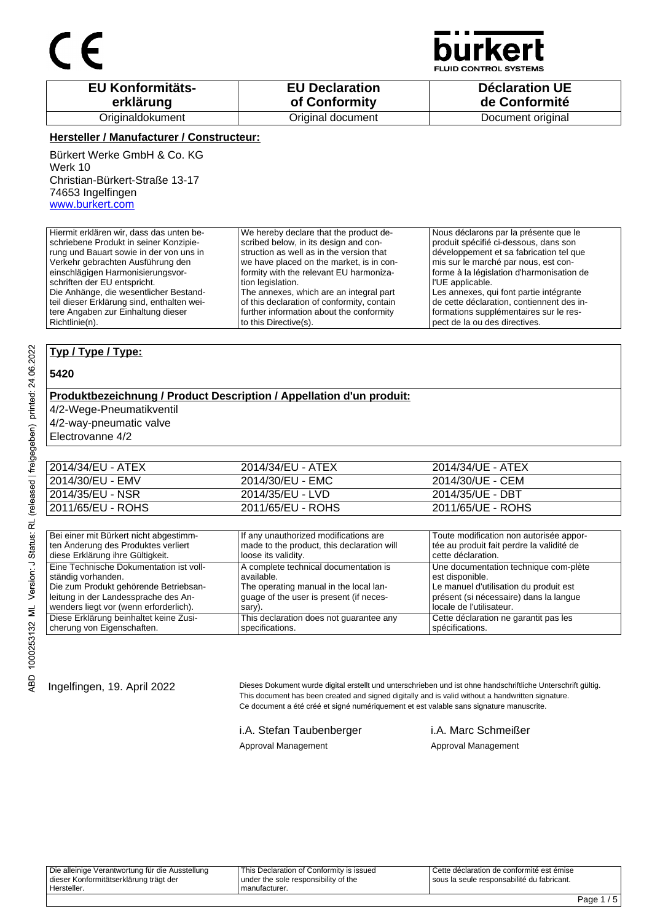

**JID CONTROL SYSTEMS** 

| <b>EU Konformitäts-</b> | <b>EU Declaration</b> | <b>Déclaration UE</b> |
|-------------------------|-----------------------|-----------------------|
| erklärung               | of Conformity         | de Conformité         |
| Originaldokument        | Original document     | Document original     |

#### **Hersteller / Manufacturer / Constructeur:**

Bürkert Werke GmbH & Co. KG Werk 10 Christian-Bürkert-Straße 13-17 74653 Ingelfingen www.burkert.com

Hiermit erklären wir, dass das unten beschriebene Produkt in seiner Konzipierung und Bauart sowie in der von uns in Verkehr gebrachten Ausführung den einschlägigen Harmonisierungsvorschriften der EU entspricht. Die Anhänge, die wesentlicher Bestandteil dieser Erklärung sind, enthalten weitere Angaben zur Einhaltung dieser Richtlinie(n). We hereby declare that the product described below, in its design and construction as well as in the version that we have placed on the market, is in conformity with the relevant EU harmonization legislation. The annexes, which are an integral part of this declaration of conformity, contain further information about the conformity to this Directive(s). Nous déclarons par la présente que le produit spécifié ci-dessous, dans son développement et sa fabrication tel que mis sur le marché par nous, est conforme à la législation d'harmonisation de l'UE applicable. Les annexes, qui font partie intégrante de cette déclaration, contiennent des informations supplémentaires sur le respect de la ou des directives.

#### **Typ / Type / Type:**

#### **5420**

### **Produktbezeichnung / Product Description / Appellation d'un produit:**

4/2-Wege-Pneumatikventil

4/2-way-pneumatic valve

Electrovanne 4/2

| 2014/34/EU - ATEX | 2014/34/EU - ATEX | 2014/34/UE - ATEX |
|-------------------|-------------------|-------------------|
| 2014/30/EU - EMV  | 2014/30/EU - EMC  | 2014/30/UE - CEM  |
| 2014/35/EU - NSR  | 2014/35/EU - LVD  | 2014/35/UE - DBT  |
| 2011/65/EU - ROHS | 2011/65/EU - ROHS | 2011/65/UE - ROHS |
|                   |                   |                   |

| Bei einer mit Bürkert nicht abgestimm-  | If any unauthorized modifications are      | Toute modification non autorisée appor-   |
|-----------------------------------------|--------------------------------------------|-------------------------------------------|
| ten Änderung des Produktes verliert     | made to the product, this declaration will | tée au produit fait perdre la validité de |
| diese Erklärung ihre Gültigkeit.        | loose its validity.                        | cette déclaration.                        |
| Eine Technische Dokumentation ist voll- | A complete technical documentation is      | Une documentation technique com-plète     |
| ständig vorhanden.                      | available.                                 | est disponible.                           |
| Die zum Produkt gehörende Betriebsan-   | The operating manual in the local lan-     | Le manuel d'utilisation du produit est    |
| leitung in der Landessprache des An-    | quage of the user is present (if neces-    | présent (si nécessaire) dans la langue    |
| wenders liegt vor (wenn erforderlich).  | sary).                                     | locale de l'utilisateur.                  |
| Diese Erklärung beinhaltet keine Zusi-  | This declaration does not guarantee any    | Cette déclaration ne garantit pas les     |
| cherung von Eigenschaften.              | specifications.                            | spécifications.                           |

Ingelfingen, 19. April 2022 Dieses Dokument wurde digital erstellt und unterschrieben und ist ohne handschriftliche Unterschrift gültig. This document has been created and signed digitally and is valid without a handwritten signature. Ce document a été créé et signé numériquement et est valable sans signature manuscrite.

> i.A. Stefan Taubenberger i.A. Marc Schmeißer Approval Management Approval Management

Die alleinige Verantwortung für die Ausstellung dieser Konformitätserklärung trägt der Hersteller. This Declaration of Conformity is issued under the sole responsibility of the manufacturer. Cette déclaration de conformité est émise sous la seule responsabilité du fabricant.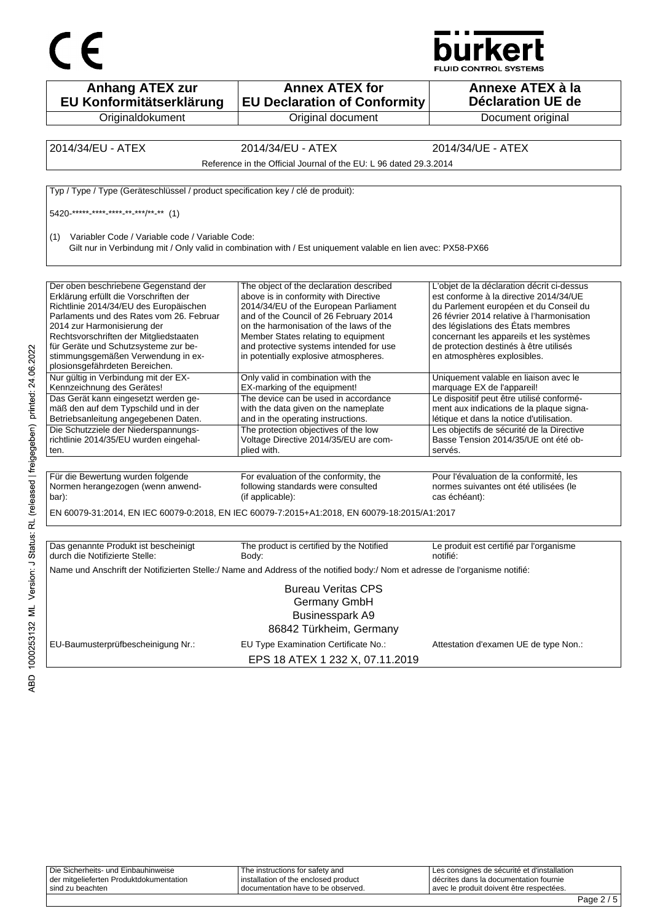



| <b>Anhang ATEX zur</b><br>EU Konformitätserklärung                                | <b>Annex ATEX for</b><br><b>EU Declaration of Conformity</b>                                                                 | Annexe ATEX à la<br><b>Déclaration UE de</b>                                                       |
|-----------------------------------------------------------------------------------|------------------------------------------------------------------------------------------------------------------------------|----------------------------------------------------------------------------------------------------|
| Originaldokument                                                                  | Original document                                                                                                            | Document original                                                                                  |
|                                                                                   |                                                                                                                              |                                                                                                    |
| 2014/34/EU - ATEX                                                                 | 2014/34/EU - ATEX                                                                                                            | 2014/34/UE - ATEX                                                                                  |
|                                                                                   | Reference in the Official Journal of the EU: L 96 dated 29.3.2014                                                            |                                                                                                    |
| Typ / Type / Type (Geräteschlüssel / product specification key / clé de produit): |                                                                                                                              |                                                                                                    |
| 5420 ***** **** **** ** ****/** ** (1)                                            |                                                                                                                              |                                                                                                    |
| Variabler Code / Variable code / Variable Code:<br>(1)                            | Gilt nur in Verbindung mit / Only valid in combination with / Est uniquement valable en lien avec: PX58-PX66                 |                                                                                                    |
| Der oben beschriebene Gegenstand der                                              | The object of the declaration described                                                                                      | L'objet de la déclaration décrit ci-dessus                                                         |
| Erklärung erfüllt die Vorschriften der                                            | above is in conformity with Directive                                                                                        | est conforme à la directive 2014/34/UE                                                             |
| Richtlinie 2014/34/EU des Europäischen                                            | 2014/34/EU of the European Parliament                                                                                        | du Parlement européen et du Conseil du<br>26 février 2014 relative à l'harmonisation               |
| Parlaments und des Rates vom 26. Februar<br>2014 zur Harmonisierung der           | and of the Council of 26 February 2014<br>on the harmonisation of the laws of the                                            | des législations des États membres                                                                 |
| Rechtsvorschriften der Mitgliedstaaten                                            | Member States relating to equipment                                                                                          | concernant les appareils et les systèmes                                                           |
| für Geräte und Schutzsysteme zur be-                                              | and protective systems intended for use                                                                                      | de protection destinés à être utilisés                                                             |
| stimmungsgemäßen Verwendung in ex-<br>plosionsgefährdeten Bereichen.              | in potentially explosive atmospheres.                                                                                        | en atmosphères explosibles.                                                                        |
| Nur gültig in Verbindung mit der EX-<br>Kennzeichnung des Gerätes!                | Only valid in combination with the<br>EX-marking of the equipment!                                                           | Uniquement valable en liaison avec le<br>marquage EX de l'appareil!                                |
| Das Gerät kann eingesetzt werden ge-                                              | The device can be used in accordance                                                                                         | Le dispositif peut être utilisé conformé-                                                          |
| mäß den auf dem Typschild und in der                                              | with the data given on the nameplate                                                                                         | ment aux indications de la plaque signa-                                                           |
| Betriebsanleitung angegebenen Daten.<br>Die Schutzziele der Niederspannungs-      | and in the operating instructions.<br>The protection objectives of the low                                                   | létique et dans la notice d'utilisation.<br>Les objectifs de sécurité de la Directive              |
| richtlinie 2014/35/EU wurden eingehal-                                            | Voltage Directive 2014/35/EU are com-                                                                                        | Basse Tension 2014/35/UE ont été ob-                                                               |
| ten.                                                                              | plied with.                                                                                                                  | servés.                                                                                            |
|                                                                                   |                                                                                                                              |                                                                                                    |
| Für die Bewertung wurden folgende<br>Normen herangezogen (wenn anwend-<br>bar):   | For evaluation of the conformity, the<br>following standards were consulted<br>(if applicable):                              | Pour l'évaluation de la conformité, les<br>normes suivantes ont été utilisées (le<br>cas échéant): |
|                                                                                   | EN 60079-31:2014, EN IEC 60079-0:2018, EN IEC 60079-7:2015+A1:2018, EN 60079-18:2015/A1:2017                                 |                                                                                                    |
|                                                                                   |                                                                                                                              |                                                                                                    |
| Das genannte Produkt ist bescheinigt<br>durch die Notifizierte Stelle:            | The product is certified by the Notified<br>Body:                                                                            | Le produit est certifié par l'organisme<br>notifié:                                                |
|                                                                                   | Name und Anschrift der Notifizierten Stelle:/ Name and Address of the notified body:/ Nom et adresse de l'organisme notifié: |                                                                                                    |
|                                                                                   | <b>Bureau Veritas CPS</b><br>Germany GmbH                                                                                    |                                                                                                    |
|                                                                                   | Businesspark A9<br>86842 Türkheim, Germany                                                                                   |                                                                                                    |
| EU-Baumusterprüfbescheinigung Nr.:                                                | EU Type Examination Certificate No.:                                                                                         | Attestation d'examen UE de type Non.:                                                              |
|                                                                                   | EPS 18 ATEX 1 232 X, 07.11.2019                                                                                              |                                                                                                    |

|                                         |                                        | –                                           |  |
|-----------------------------------------|----------------------------------------|---------------------------------------------|--|
| sind zu beachten                        | I documentation have to be observed.   | l avec le produit doivent être respectées.  |  |
| der mitgelieferten Produktdokumentation | I installation of the enclosed product | décrites dans la documentation fournie      |  |
| Die Sicherheits- und Einbauhinweise     | The instructions for safety and        | Les consignes de sécurité et d'installation |  |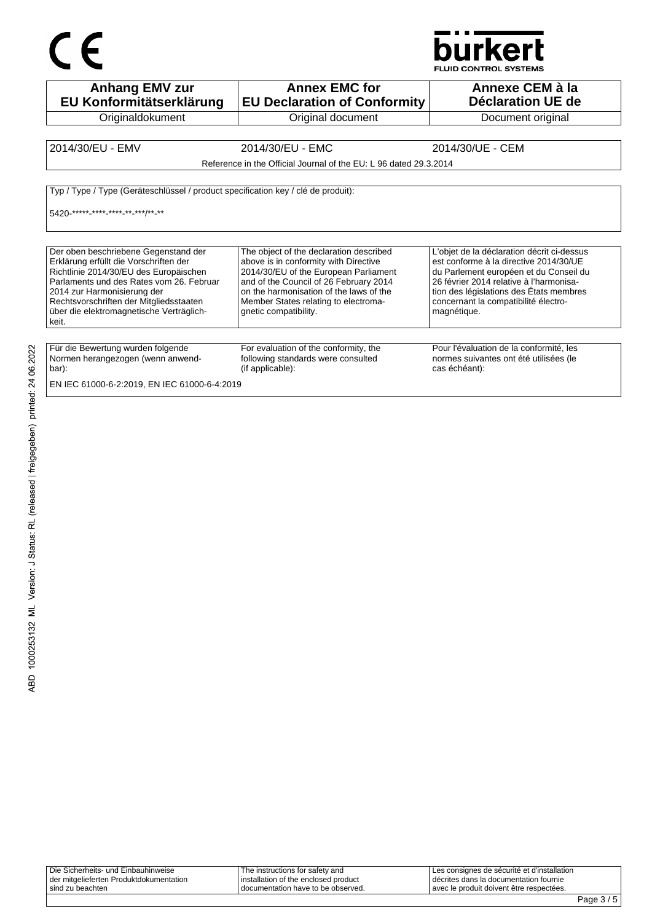# $C \in$



FLUID CONTROL SYSTEMS

| <b>Anhang EMV zur</b><br>EU Konformitätserklärung                                                                                                                                                                                                                                                   | <b>Annex EMC for</b><br><b>EU Declaration of Conformity</b>                                                                                                                                                                                                                     | Annexe CEM à la<br>Déclaration UE de                                                                                                                                                                                                                                        |  |
|-----------------------------------------------------------------------------------------------------------------------------------------------------------------------------------------------------------------------------------------------------------------------------------------------------|---------------------------------------------------------------------------------------------------------------------------------------------------------------------------------------------------------------------------------------------------------------------------------|-----------------------------------------------------------------------------------------------------------------------------------------------------------------------------------------------------------------------------------------------------------------------------|--|
| Originaldokument                                                                                                                                                                                                                                                                                    | Original document                                                                                                                                                                                                                                                               | Document original                                                                                                                                                                                                                                                           |  |
|                                                                                                                                                                                                                                                                                                     |                                                                                                                                                                                                                                                                                 |                                                                                                                                                                                                                                                                             |  |
| 2014/30/EU - EMV                                                                                                                                                                                                                                                                                    | 2014/30/EU - EMC                                                                                                                                                                                                                                                                | 2014/30/UE - CEM                                                                                                                                                                                                                                                            |  |
|                                                                                                                                                                                                                                                                                                     | Reference in the Official Journal of the EU: L 96 dated 29.3.2014                                                                                                                                                                                                               |                                                                                                                                                                                                                                                                             |  |
| Typ / Type / Type (Geräteschlüssel / product specification key / clé de produit):<br>5420 ***** **** **** ** *** /** **                                                                                                                                                                             |                                                                                                                                                                                                                                                                                 |                                                                                                                                                                                                                                                                             |  |
| Der oben beschriebene Gegenstand der<br>Erklärung erfüllt die Vorschriften der<br>Richtlinie 2014/30/EU des Europäischen<br>Parlaments und des Rates vom 26. Februar<br>2014 zur Harmonisierung der<br>Rechtsvorschriften der Mitgliedsstaaten<br>über die elektromagnetische Verträglich-<br>keit. | The object of the declaration described<br>above is in conformity with Directive<br>2014/30/EU of the European Parliament<br>and of the Council of 26 February 2014<br>on the harmonisation of the laws of the<br>Member States relating to electroma-<br>qnetic compatibility. | L'objet de la déclaration décrit ci-dessus<br>est conforme à la directive 2014/30/UE<br>du Parlement européen et du Conseil du<br>26 février 2014 relative à l'harmonisa-<br>tion des législations des États membres<br>concernant la compatibilité électro-<br>magnétique. |  |
| Für die Bewertung wurden folgende<br>Normen herangezogen (wenn anwend-<br>bar):<br>EN IEC 61000-6-2:2019, EN IEC 61000-6-4:2019                                                                                                                                                                     | For evaluation of the conformity, the<br>following standards were consulted<br>(if applicable):                                                                                                                                                                                 | Pour l'évaluation de la conformité, les<br>normes suivantes ont été utilisées (le<br>cas échéant):                                                                                                                                                                          |  |

| Die Sicherheits- und Einbauhinweise     | The instructions for safety and        | Les consignes de sécurité et d'installation |
|-----------------------------------------|----------------------------------------|---------------------------------------------|
| der mitgelieferten Produktdokumentation | i installation of the enclosed product | décrites dans la documentation fournie      |
| sind zu beachten                        | I documentation have to be observed.   | l avec le produit doivent être respectées.  |
|                                         |                                        |                                             |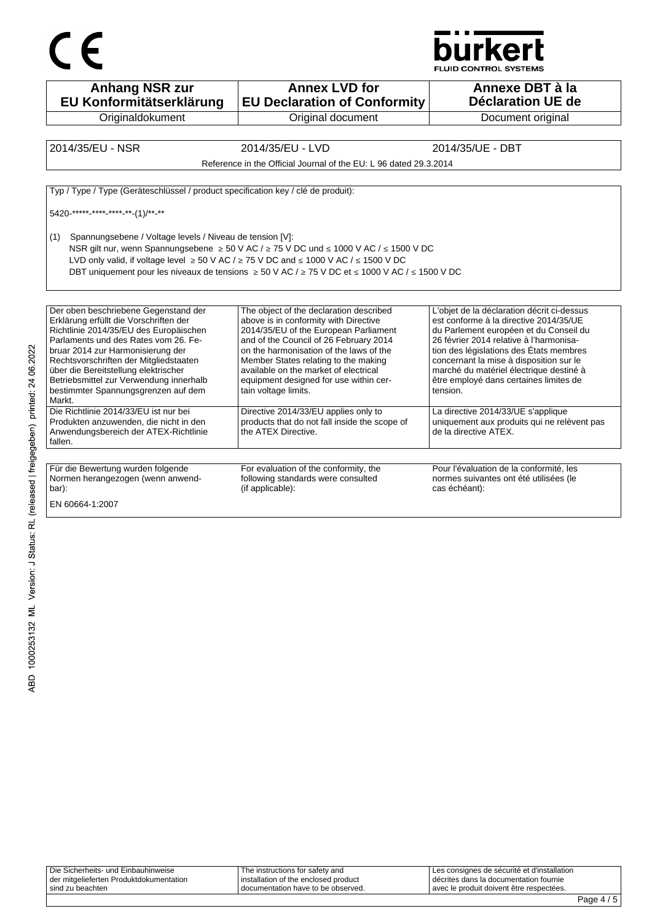



**Anhang NSR zur EU Konformitätserklärung Originaldokument Annex LVD for EU Declaration of Conformity** Original document **Annexe DBT à la Déclaration UE de**  Document original 2014/35/EU - NSR 2014/35/EU - LVD 2014/35/UE - DBT Reference in the Official Journal of the EU: L 96 dated 29.3.2014 Typ / Type / Type (Geräteschlüssel / product specification key / clé de produit): 5420-\*\*\*\*\*-\*\*\*\*-\*\*\*\*-\*\*-(1)/\*\*-\*\* (1) Spannungsebene / Voltage levels / Niveau de tension [V]: NSR gilt nur, wenn Spannungsebene ≥ 50 V AC / ≥ 75 V DC und ≤ 1000 V AC / ≤ 1500 V DC LVD only valid, if voltage level  $\geq 50$  V AC /  $\geq 75$  V DC and ≤ 1000 V AC / ≤ 1500 V DC DBT uniquement pour les niveaux de tensions ≥ 50 V AC / ≥ 75 V DC et ≤ 1000 V AC / ≤ 1500 V DC Der oben beschriebene Gegenstand der Erklärung erfüllt die Vorschriften der Richtlinie 2014/35/EU des Europäischen Parlaments und des Rates vom 26. Februar 2014 zur Harmonisierung der Rechtsvorschriften der Mitgliedstaaten über die Bereitstellung elektrischer Betriebsmittel zur Verwendung innerhalb bestimmter Spannungsgrenzen auf dem Markt. The object of the declaration described above is in conformity with Directive 2014/35/EU of the European Parliament and of the Council of 26 February 2014 on the harmonisation of the laws of the Member States relating to the making available on the market of electrical equipment designed for use within certain voltage limits. L'objet de la déclaration décrit ci-dessus est conforme à la directive 2014/35/UE du Parlement européen et du Conseil du 26 février 2014 relative à l'harmonisation des législations des États membres concernant la mise à disposition sur le marché du matériel électrique destiné à être employé dans certaines limites de tension. Die Richtlinie 2014/33/EU ist nur bei Produkten anzuwenden, die nicht in den Anwendungsbereich der ATEX-Richtlinie fallen. Directive 2014/33/EU applies only to products that do not fall inside the scope of the ATEX Directive. La directive 2014/33/UE s'applique uniquement aux produits qui ne relèvent pas de la directive ATEX. Für die Bewertung wurden folgende Normen herangezogen (wenn anwendbar): For evaluation of the conformity, the following standards were consulted (if applicable): Pour l'évaluation de la conformité, les normes suivantes ont été utilisées (le cas échéant): EN 60664-1:2007

| Die Sicherheits- und Einbauhinweise<br>der mitgelieferten Produktdokumentation | The instructions for safety and<br>installation of the enclosed product | Les consignes de sécurité et d'installation<br>décrites dans la documentation fournie |  |
|--------------------------------------------------------------------------------|-------------------------------------------------------------------------|---------------------------------------------------------------------------------------|--|
| sind zu beachten                                                               | I documentation have to be observed.                                    | avec le produit doivent être respectées.                                              |  |
|                                                                                |                                                                         |                                                                                       |  |